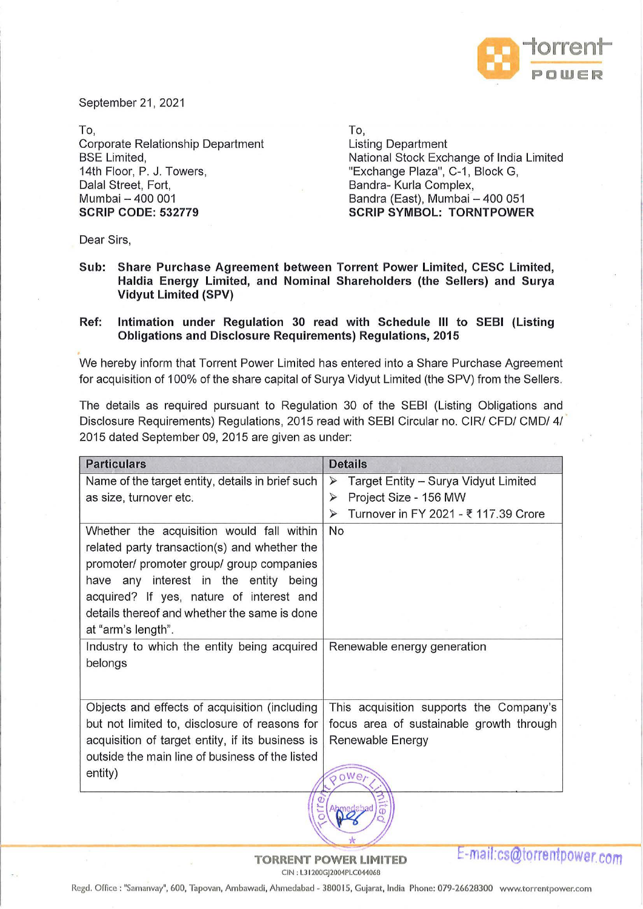

September 21, 2021

To, Corporate Relationship Department BSE Limited, 14th Floor, P. J. Towers, Dalal Street, Fort, Mumbai - 400 001 **SCRIP CODE: 532779** 

To,

Listing Department National Stock Exchange of India Limited "Exchange Plaza", C-1, Block G, Bandra- Kurla Complex, Bandra (East), Mumbai - 400 051 **SCRIP SYMBOL: TORNTPOWER** 

Dear Sirs,

**Sub: Share Purchase Agreement between Torrent Power Limited, CESC Limited, Haldia Energy Limited, and Nominal Shareholders (the Sellers) and Surya Vidyut Limited (SPV)** 

## **Ref: Intimation under Regulation 30 read with Schedule Ill to SEBI (Listing Obligations and Disclosure Requirements) Regulations, 2015**

We hereby inform that Torrent Power Limited has entered into a Share Purchase Agreement for acquisition of 100% of the share capital of Surya Vidyut Limited (the SPV) from the Sellers.

The details as required pursuant to Regulation 30 of the SEBI (Listing Obligations and Disclosure Requirements) Regulations, 2015 read with SEBI Circular no. CIR/ CFO/ CMD/ 4/ 2015 dated September 09, 2015 are given as under:

| <b>Particulars</b>                                                                                                                                                                                                                                                                                | <b>Details</b>                                                |  |  |
|---------------------------------------------------------------------------------------------------------------------------------------------------------------------------------------------------------------------------------------------------------------------------------------------------|---------------------------------------------------------------|--|--|
| Name of the target entity, details in brief such                                                                                                                                                                                                                                                  | Target Entity - Surya Vidyut Limited<br>$\blacktriangleright$ |  |  |
| as size, turnover etc.                                                                                                                                                                                                                                                                            | Project Size - 156 MW<br>$\blacktriangleright$                |  |  |
|                                                                                                                                                                                                                                                                                                   | Turnover in FY 2021 - ₹ 117.39 Crore<br>$\blacktriangleright$ |  |  |
| Whether the acquisition would fall within<br>related party transaction(s) and whether the<br>promoter/ promoter group/ group companies<br>have any interest in the entity being<br>acquired? If yes, nature of interest and<br>details thereof and whether the same is done<br>at "arm's length". | No                                                            |  |  |
| Industry to which the entity being acquired<br>belongs                                                                                                                                                                                                                                            | Renewable energy generation                                   |  |  |
| Objects and effects of acquisition (including                                                                                                                                                                                                                                                     | This acquisition supports the Company's                       |  |  |
| but not limited to, disclosure of reasons for                                                                                                                                                                                                                                                     | focus area of sustainable growth through                      |  |  |
| acquisition of target entity, if its business is                                                                                                                                                                                                                                                  | Renewable Energy                                              |  |  |
| outside the main line of business of the listed                                                                                                                                                                                                                                                   |                                                               |  |  |
| entity)                                                                                                                                                                                                                                                                                           | $0$ Wer                                                       |  |  |
|                                                                                                                                                                                                                                                                                                   |                                                               |  |  |

**-maH:cs@torrentpower.com** 

Regd. Office: "Samanvay", 600, Tapovan, Ambawadi, Ahmedabad - 380015, Gujarat, India Phone: 079-26628300 www.torrentpower.com